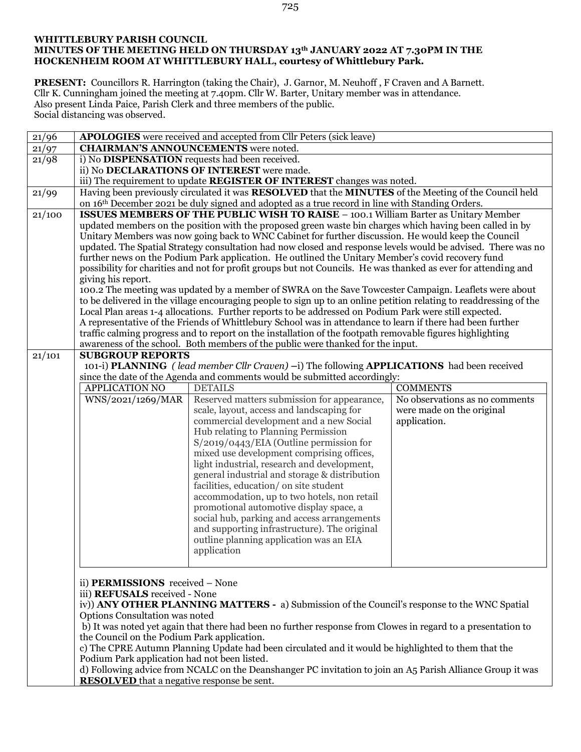## **WHITTLEBURY PARISH COUNCIL MINUTES OF THE MEETING HELD ON THURSDAY 13th JANUARY 2022 AT 7.30PM IN THE HOCKENHEIM ROOM AT WHITTLEBURY HALL, courtesy of Whittlebury Park.**

**PRESENT:** Councillors R. Harrington (taking the Chair), J. Garnor, M. Neuhoff , F Craven and A Barnett. Cllr K. Cunningham joined the meeting at 7.40pm. Cllr W. Barter, Unitary member was in attendance. Also present Linda Paice, Parish Clerk and three members of the public. Social distancing was observed.

| 21/96  |                                                                                                                                                                                                                     | APOLOGIES were received and accepted from Cllr Peters (sick leave)                                        |                                |  |  |  |  |
|--------|---------------------------------------------------------------------------------------------------------------------------------------------------------------------------------------------------------------------|-----------------------------------------------------------------------------------------------------------|--------------------------------|--|--|--|--|
| 21/97  | <b>CHAIRMAN'S ANNOUNCEMENTS</b> were noted.                                                                                                                                                                         |                                                                                                           |                                |  |  |  |  |
| 21/98  | i) No DISPENSATION requests had been received.                                                                                                                                                                      |                                                                                                           |                                |  |  |  |  |
|        | ii) No DECLARATIONS OF INTEREST were made.                                                                                                                                                                          |                                                                                                           |                                |  |  |  |  |
|        |                                                                                                                                                                                                                     | iii) The requirement to update REGISTER OF INTEREST changes was noted.                                    |                                |  |  |  |  |
| 21/99  |                                                                                                                                                                                                                     | Having been previously circulated it was RESOLVED that the MINUTES of the Meeting of the Council held     |                                |  |  |  |  |
|        |                                                                                                                                                                                                                     | on 16th December 2021 be duly signed and adopted as a true record in line with Standing Orders.           |                                |  |  |  |  |
| 21/100 |                                                                                                                                                                                                                     | <b>ISSUES MEMBERS OF THE PUBLIC WISH TO RAISE - 100.1 William Barter as Unitary Member</b>                |                                |  |  |  |  |
|        | updated members on the position with the proposed green waste bin charges which having been called in by                                                                                                            |                                                                                                           |                                |  |  |  |  |
|        | Unitary Members was now going back to WNC Cabinet for further discussion. He would keep the Council                                                                                                                 |                                                                                                           |                                |  |  |  |  |
|        | updated. The Spatial Strategy consultation had now closed and response levels would be advised. There was no                                                                                                        |                                                                                                           |                                |  |  |  |  |
|        | further news on the Podium Park application. He outlined the Unitary Member's covid recovery fund                                                                                                                   |                                                                                                           |                                |  |  |  |  |
|        | possibility for charities and not for profit groups but not Councils. He was thanked as ever for attending and                                                                                                      |                                                                                                           |                                |  |  |  |  |
|        | giving his report.                                                                                                                                                                                                  |                                                                                                           |                                |  |  |  |  |
|        | 100.2 The meeting was updated by a member of SWRA on the Save Towcester Campaign. Leaflets were about                                                                                                               |                                                                                                           |                                |  |  |  |  |
|        | to be delivered in the village encouraging people to sign up to an online petition relating to readdressing of the                                                                                                  |                                                                                                           |                                |  |  |  |  |
|        | Local Plan areas 1-4 allocations. Further reports to be addressed on Podium Park were still expected.<br>A representative of the Friends of Whittlebury School was in attendance to learn if there had been further |                                                                                                           |                                |  |  |  |  |
|        |                                                                                                                                                                                                                     | traffic calming progress and to report on the installation of the footpath removable figures highlighting |                                |  |  |  |  |
|        |                                                                                                                                                                                                                     | awareness of the school. Both members of the public were thanked for the input.                           |                                |  |  |  |  |
| 21/101 | <b>SUBGROUP REPORTS</b>                                                                                                                                                                                             |                                                                                                           |                                |  |  |  |  |
|        |                                                                                                                                                                                                                     | 101-i) PLANNING (lead member Cllr Craven) -i) The following APPLICATIONS had been received                |                                |  |  |  |  |
|        |                                                                                                                                                                                                                     | since the date of the Agenda and comments would be submitted accordingly:                                 |                                |  |  |  |  |
|        | <b>APPLICATION NO</b>                                                                                                                                                                                               | <b>DETAILS</b>                                                                                            | <b>COMMENTS</b>                |  |  |  |  |
|        | WNS/2021/1269/MAR                                                                                                                                                                                                   | Reserved matters submission for appearance,                                                               | No observations as no comments |  |  |  |  |
|        |                                                                                                                                                                                                                     | scale, layout, access and landscaping for                                                                 | were made on the original      |  |  |  |  |
|        |                                                                                                                                                                                                                     | commercial development and a new Social                                                                   | application.                   |  |  |  |  |
|        |                                                                                                                                                                                                                     | Hub relating to Planning Permission                                                                       |                                |  |  |  |  |
|        |                                                                                                                                                                                                                     | S/2019/0443/EIA (Outline permission for                                                                   |                                |  |  |  |  |
|        |                                                                                                                                                                                                                     | mixed use development comprising offices,                                                                 |                                |  |  |  |  |
|        |                                                                                                                                                                                                                     | light industrial, research and development,                                                               |                                |  |  |  |  |
|        |                                                                                                                                                                                                                     | general industrial and storage & distribution                                                             |                                |  |  |  |  |
|        |                                                                                                                                                                                                                     | facilities, education/ on site student                                                                    |                                |  |  |  |  |
|        |                                                                                                                                                                                                                     | accommodation, up to two hotels, non retail                                                               |                                |  |  |  |  |
|        |                                                                                                                                                                                                                     | promotional automotive display space, a                                                                   |                                |  |  |  |  |
|        |                                                                                                                                                                                                                     | social hub, parking and access arrangements                                                               |                                |  |  |  |  |
|        |                                                                                                                                                                                                                     | and supporting infrastructure). The original                                                              |                                |  |  |  |  |
|        |                                                                                                                                                                                                                     | outline planning application was an EIA<br>application                                                    |                                |  |  |  |  |
|        |                                                                                                                                                                                                                     |                                                                                                           |                                |  |  |  |  |
|        |                                                                                                                                                                                                                     |                                                                                                           |                                |  |  |  |  |
|        | ii) <b>PERMISSIONS</b> received - None                                                                                                                                                                              |                                                                                                           |                                |  |  |  |  |
|        | iii) REFUSALS received - None                                                                                                                                                                                       |                                                                                                           |                                |  |  |  |  |
|        |                                                                                                                                                                                                                     | iv)) ANY OTHER PLANNING MATTERS - a) Submission of the Council's response to the WNC Spatial              |                                |  |  |  |  |
|        | Options Consultation was noted                                                                                                                                                                                      |                                                                                                           |                                |  |  |  |  |
|        | b) It was noted yet again that there had been no further response from Clowes in regard to a presentation to                                                                                                        |                                                                                                           |                                |  |  |  |  |
|        | the Council on the Podium Park application.                                                                                                                                                                         |                                                                                                           |                                |  |  |  |  |
|        | c) The CPRE Autumn Planning Update had been circulated and it would be highlighted to them that the                                                                                                                 |                                                                                                           |                                |  |  |  |  |
|        | Podium Park application had not been listed.                                                                                                                                                                        |                                                                                                           |                                |  |  |  |  |
|        | d) Following advice from NCALC on the Deanshanger PC invitation to join an A5 Parish Alliance Group it was                                                                                                          |                                                                                                           |                                |  |  |  |  |
|        | <b>RESOLVED</b> that a negative response be sent.                                                                                                                                                                   |                                                                                                           |                                |  |  |  |  |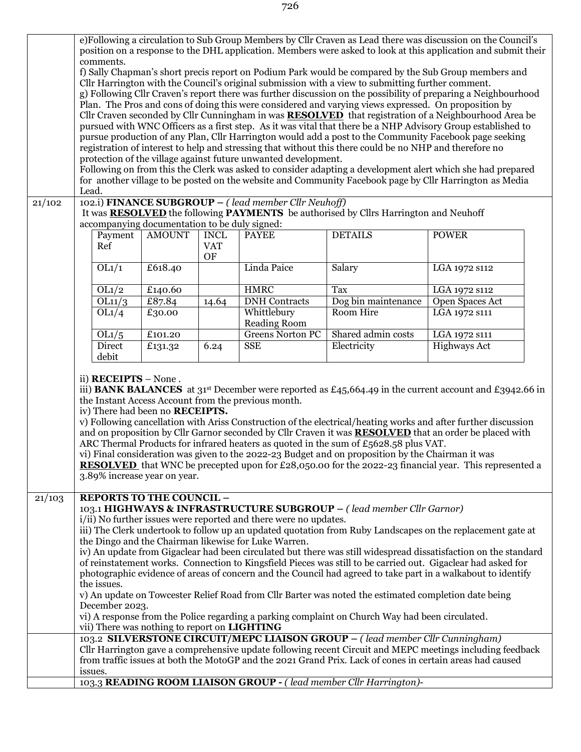|        | e)Following a circulation to Sub Group Members by Cllr Craven as Lead there was discussion on the Council's<br>position on a response to the DHL application. Members were asked to look at this application and submit their |               |                  |                                                                  |                                                                                                      |                                                                                                                           |  |  |
|--------|-------------------------------------------------------------------------------------------------------------------------------------------------------------------------------------------------------------------------------|---------------|------------------|------------------------------------------------------------------|------------------------------------------------------------------------------------------------------|---------------------------------------------------------------------------------------------------------------------------|--|--|
|        | comments.                                                                                                                                                                                                                     |               |                  |                                                                  |                                                                                                      |                                                                                                                           |  |  |
|        | f) Sally Chapman's short precis report on Podium Park would be compared by the Sub Group members and                                                                                                                          |               |                  |                                                                  |                                                                                                      |                                                                                                                           |  |  |
|        | Cllr Harrington with the Council's original submission with a view to submitting further comment.                                                                                                                             |               |                  |                                                                  |                                                                                                      |                                                                                                                           |  |  |
|        | g) Following Cllr Craven's report there was further discussion on the possibility of preparing a Neighbourhood<br>Plan. The Pros and cons of doing this were considered and varying views expressed. On proposition by        |               |                  |                                                                  |                                                                                                      |                                                                                                                           |  |  |
|        |                                                                                                                                                                                                                               |               |                  |                                                                  |                                                                                                      | Cllr Craven seconded by Cllr Cunningham in was <b>RESOLVED</b> that registration of a Neighbourhood Area be               |  |  |
|        |                                                                                                                                                                                                                               |               |                  |                                                                  |                                                                                                      |                                                                                                                           |  |  |
|        | pursued with WNC Officers as a first step. As it was vital that there be a NHP Advisory Group established to<br>pursue production of any Plan, Cllr Harrington would add a post to the Community Facebook page seeking        |               |                  |                                                                  |                                                                                                      |                                                                                                                           |  |  |
|        | registration of interest to help and stressing that without this there could be no NHP and therefore no                                                                                                                       |               |                  |                                                                  |                                                                                                      |                                                                                                                           |  |  |
|        | protection of the village against future unwanted development.                                                                                                                                                                |               |                  |                                                                  |                                                                                                      |                                                                                                                           |  |  |
|        | Following on from this the Clerk was asked to consider adapting a development alert which she had prepared<br>for another village to be posted on the website and Community Facebook page by Cllr Harrington as Media         |               |                  |                                                                  |                                                                                                      |                                                                                                                           |  |  |
|        | Lead.                                                                                                                                                                                                                         |               |                  |                                                                  |                                                                                                      |                                                                                                                           |  |  |
| 21/102 |                                                                                                                                                                                                                               |               |                  | 102.i) FINANCE SUBGROUP - (lead member Cllr Neuhoff)             |                                                                                                      |                                                                                                                           |  |  |
|        |                                                                                                                                                                                                                               |               |                  |                                                                  | It was <b>RESOLVED</b> the following <b>PAYMENTS</b> be authorised by Cllrs Harrington and Neuhoff   |                                                                                                                           |  |  |
|        | accompanying documentation to be duly signed:                                                                                                                                                                                 |               |                  |                                                                  |                                                                                                      |                                                                                                                           |  |  |
|        | Payment                                                                                                                                                                                                                       | <b>AMOUNT</b> | <b>INCL</b>      | <b>PAYEE</b>                                                     | <b>DETAILS</b>                                                                                       | <b>POWER</b>                                                                                                              |  |  |
|        | Ref                                                                                                                                                                                                                           |               | <b>VAT</b><br>OF |                                                                  |                                                                                                      |                                                                                                                           |  |  |
|        | OL1/1                                                                                                                                                                                                                         | £618.40       |                  | Linda Paice                                                      | Salary                                                                                               | LGA 1972 s112                                                                                                             |  |  |
|        |                                                                                                                                                                                                                               |               |                  |                                                                  |                                                                                                      |                                                                                                                           |  |  |
|        | OL1/2                                                                                                                                                                                                                         | £140.60       |                  | <b>HMRC</b>                                                      | Tax                                                                                                  | LGA 1972 S112                                                                                                             |  |  |
|        | OL11/3<br>OL1/4                                                                                                                                                                                                               | £87.84        | 14.64            | <b>DNH</b> Contracts                                             | Dog bin maintenance<br>Room Hire                                                                     | Open Spaces Act                                                                                                           |  |  |
|        |                                                                                                                                                                                                                               | £30.00        |                  | Whittlebury<br>Reading Room                                      |                                                                                                      | LGA 1972 s111                                                                                                             |  |  |
|        | OL1/5                                                                                                                                                                                                                         | £101.20       |                  | <b>Greens Norton PC</b>                                          | Shared admin costs                                                                                   | LGA 1972 S111                                                                                                             |  |  |
|        | Direct                                                                                                                                                                                                                        | £131.32       | 6.24             | <b>SSE</b>                                                       | Electricity                                                                                          | Highways Act                                                                                                              |  |  |
|        | debit                                                                                                                                                                                                                         |               |                  |                                                                  |                                                                                                      |                                                                                                                           |  |  |
|        |                                                                                                                                                                                                                               |               |                  |                                                                  |                                                                                                      |                                                                                                                           |  |  |
|        | ii) $RECEIPTS - None$ .                                                                                                                                                                                                       |               |                  |                                                                  |                                                                                                      |                                                                                                                           |  |  |
|        |                                                                                                                                                                                                                               |               |                  |                                                                  |                                                                                                      | iii) <b>BANK BALANCES</b> at 31 <sup>st</sup> December were reported as £45,664.49 in the current account and £3942.66 in |  |  |
|        | the Instant Access Account from the previous month.<br>iv) There had been no <b>RECEIPTS.</b>                                                                                                                                 |               |                  |                                                                  |                                                                                                      |                                                                                                                           |  |  |
|        |                                                                                                                                                                                                                               |               |                  |                                                                  |                                                                                                      | v) Following cancellation with Ariss Construction of the electrical/heating works and after further discussion            |  |  |
|        | and on proposition by Cllr Garnor seconded by Cllr Craven it was <b>RESOLVED</b> that an order be placed with                                                                                                                 |               |                  |                                                                  |                                                                                                      |                                                                                                                           |  |  |
|        |                                                                                                                                                                                                                               |               |                  |                                                                  | ARC Thermal Products for infrared heaters as quoted in the sum of $£5628.58$ plus VAT.               |                                                                                                                           |  |  |
|        | vi) Final consideration was given to the 2022-23 Budget and on proposition by the Chairman it was                                                                                                                             |               |                  |                                                                  |                                                                                                      |                                                                                                                           |  |  |
|        | <b>RESOLVED</b> that WNC be precepted upon for £28,050.00 for the 2022-23 financial year. This represented a<br>3.89% increase year on year.                                                                                  |               |                  |                                                                  |                                                                                                      |                                                                                                                           |  |  |
|        |                                                                                                                                                                                                                               |               |                  |                                                                  |                                                                                                      |                                                                                                                           |  |  |
| 21/103 | <b>REPORTS TO THE COUNCIL -</b>                                                                                                                                                                                               |               |                  |                                                                  |                                                                                                      |                                                                                                                           |  |  |
|        |                                                                                                                                                                                                                               |               |                  |                                                                  | 103.1 HIGHWAYS & INFRASTRUCTURE SUBGROUP - (lead member Cllr Garnor)                                 |                                                                                                                           |  |  |
|        |                                                                                                                                                                                                                               |               |                  | i/ii) No further issues were reported and there were no updates. |                                                                                                      |                                                                                                                           |  |  |
|        |                                                                                                                                                                                                                               |               |                  | the Dingo and the Chairman likewise for Luke Warren.             |                                                                                                      | iii) The Clerk undertook to follow up an updated quotation from Ruby Landscapes on the replacement gate at                |  |  |
|        |                                                                                                                                                                                                                               |               |                  |                                                                  |                                                                                                      | iv) An update from Gigaclear had been circulated but there was still widespread dissatisfaction on the standard           |  |  |
|        |                                                                                                                                                                                                                               |               |                  |                                                                  |                                                                                                      | of reinstatement works. Connection to Kingsfield Pieces was still to be carried out. Gigaclear had asked for              |  |  |
|        |                                                                                                                                                                                                                               |               |                  |                                                                  |                                                                                                      | photographic evidence of areas of concern and the Council had agreed to take part in a walkabout to identify              |  |  |
|        | the issues.                                                                                                                                                                                                                   |               |                  |                                                                  |                                                                                                      |                                                                                                                           |  |  |
|        |                                                                                                                                                                                                                               |               |                  |                                                                  | v) An update on Towcester Relief Road from Cllr Barter was noted the estimated completion date being |                                                                                                                           |  |  |
|        | December 2023.                                                                                                                                                                                                                |               |                  |                                                                  | vi) A response from the Police regarding a parking complaint on Church Way had been circulated.      |                                                                                                                           |  |  |
|        | vii) There was nothing to report on LIGHTING                                                                                                                                                                                  |               |                  |                                                                  |                                                                                                      |                                                                                                                           |  |  |
|        |                                                                                                                                                                                                                               |               |                  |                                                                  | 103.2 SILVERSTONE CIRCUIT/MEPC LIAISON GROUP - (lead member Cllr Cunningham)                         |                                                                                                                           |  |  |
|        |                                                                                                                                                                                                                               |               |                  |                                                                  |                                                                                                      | Cllr Harrington gave a comprehensive update following recent Circuit and MEPC meetings including feedback                 |  |  |
|        | from traffic issues at both the MotoGP and the 2021 Grand Prix. Lack of cones in certain areas had caused                                                                                                                     |               |                  |                                                                  |                                                                                                      |                                                                                                                           |  |  |
|        | issues.                                                                                                                                                                                                                       |               |                  |                                                                  |                                                                                                      |                                                                                                                           |  |  |
|        |                                                                                                                                                                                                                               |               |                  |                                                                  | 103.3 READING ROOM LIAISON GROUP - (lead member Cllr Harrington)-                                    |                                                                                                                           |  |  |

726